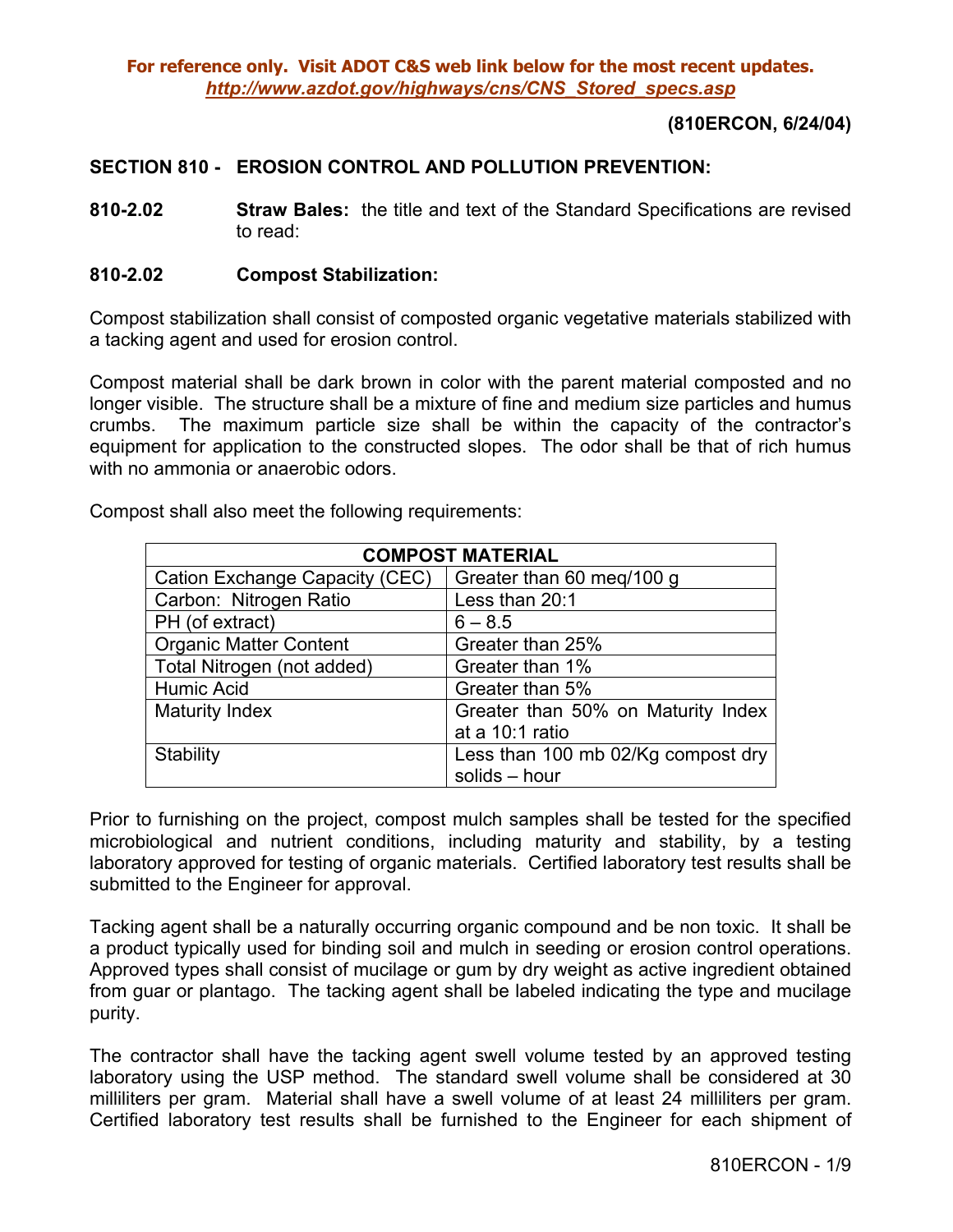### **(810ERCON, 6/24/04)**

#### **SECTION 810 - EROSION CONTROL AND POLLUTION PREVENTION:**

**810-2.02 Straw Bales:** the title and text of the Standard Specifications are revised to read:

#### **810-2.02 Compost Stabilization:**

Compost stabilization shall consist of composted organic vegetative materials stabilized with a tacking agent and used for erosion control.

Compost material shall be dark brown in color with the parent material composted and no longer visible. The structure shall be a mixture of fine and medium size particles and humus crumbs. The maximum particle size shall be within the capacity of the contractor's equipment for application to the constructed slopes. The odor shall be that of rich humus with no ammonia or anaerobic odors.

| <b>COMPOST MATERIAL</b>        |                                    |  |
|--------------------------------|------------------------------------|--|
| Cation Exchange Capacity (CEC) | Greater than 60 meg/100 g          |  |
| Carbon: Nitrogen Ratio         | Less than 20:1                     |  |
| PH (of extract)                | $6 - 8.5$                          |  |
| <b>Organic Matter Content</b>  | Greater than 25%                   |  |
| Total Nitrogen (not added)     | Greater than 1%                    |  |
| <b>Humic Acid</b>              | Greater than 5%                    |  |
| <b>Maturity Index</b>          | Greater than 50% on Maturity Index |  |
|                                | at a 10:1 ratio                    |  |
| Stability                      | Less than 100 mb 02/Kg compost dry |  |
|                                | solids - hour                      |  |

Compost shall also meet the following requirements:

Prior to furnishing on the project, compost mulch samples shall be tested for the specified microbiological and nutrient conditions, including maturity and stability, by a testing laboratory approved for testing of organic materials. Certified laboratory test results shall be submitted to the Engineer for approval.

Tacking agent shall be a naturally occurring organic compound and be non toxic. It shall be a product typically used for binding soil and mulch in seeding or erosion control operations. Approved types shall consist of mucilage or gum by dry weight as active ingredient obtained from guar or plantago. The tacking agent shall be labeled indicating the type and mucilage purity.

The contractor shall have the tacking agent swell volume tested by an approved testing laboratory using the USP method. The standard swell volume shall be considered at 30 milliliters per gram. Material shall have a swell volume of at least 24 milliliters per gram. Certified laboratory test results shall be furnished to the Engineer for each shipment of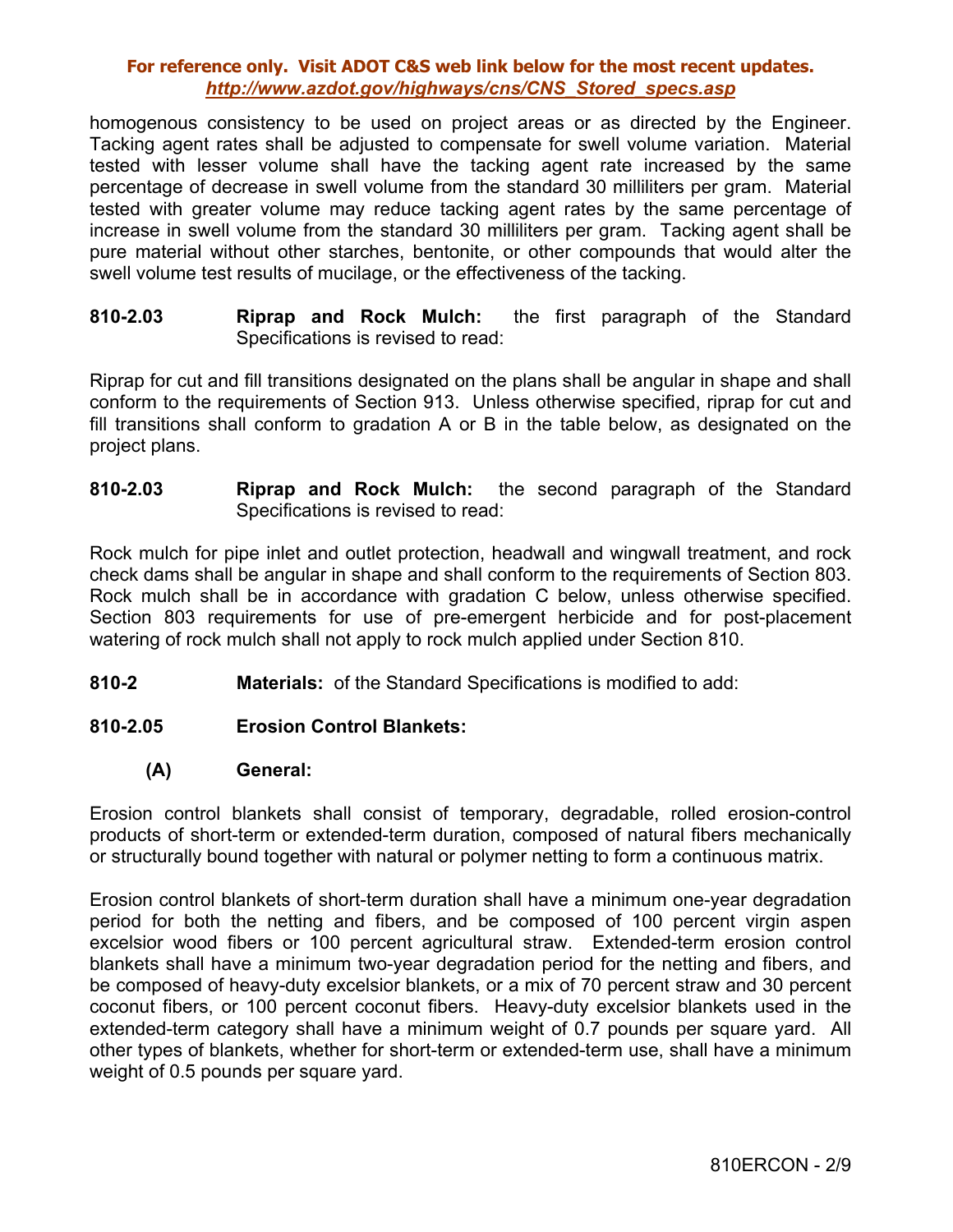homogenous consistency to be used on project areas or as directed by the Engineer. Tacking agent rates shall be adjusted to compensate for swell volume variation. Material tested with lesser volume shall have the tacking agent rate increased by the same percentage of decrease in swell volume from the standard 30 milliliters per gram. Material tested with greater volume may reduce tacking agent rates by the same percentage of increase in swell volume from the standard 30 milliliters per gram. Tacking agent shall be pure material without other starches, bentonite, or other compounds that would alter the swell volume test results of mucilage, or the effectiveness of the tacking.

**810-2.03 Riprap and Rock Mulch:** the first paragraph of the Standard Specifications is revised to read:

Riprap for cut and fill transitions designated on the plans shall be angular in shape and shall conform to the requirements of Section 913. Unless otherwise specified, riprap for cut and fill transitions shall conform to gradation A or B in the table below, as designated on the project plans.

**810-2.03 Riprap and Rock Mulch:** the second paragraph of the Standard Specifications is revised to read:

Rock mulch for pipe inlet and outlet protection, headwall and wingwall treatment, and rock check dams shall be angular in shape and shall conform to the requirements of Section 803. Rock mulch shall be in accordance with gradation C below, unless otherwise specified. Section 803 requirements for use of pre-emergent herbicide and for post-placement watering of rock mulch shall not apply to rock mulch applied under Section 810.

**810-2 Materials:** of the Standard Specifications is modified to add:

### **810-2.05 Erosion Control Blankets:**

### **(A) General:**

Erosion control blankets shall consist of temporary, degradable, rolled erosion-control products of short-term or extended-term duration, composed of natural fibers mechanically or structurally bound together with natural or polymer netting to form a continuous matrix.

Erosion control blankets of short-term duration shall have a minimum one-year degradation period for both the netting and fibers, and be composed of 100 percent virgin aspen excelsior wood fibers or 100 percent agricultural straw. Extended-term erosion control blankets shall have a minimum two-year degradation period for the netting and fibers, and be composed of heavy-duty excelsior blankets, or a mix of 70 percent straw and 30 percent coconut fibers, or 100 percent coconut fibers. Heavy-duty excelsior blankets used in the extended-term category shall have a minimum weight of 0.7 pounds per square yard. All other types of blankets, whether for short-term or extended-term use, shall have a minimum weight of 0.5 pounds per square yard.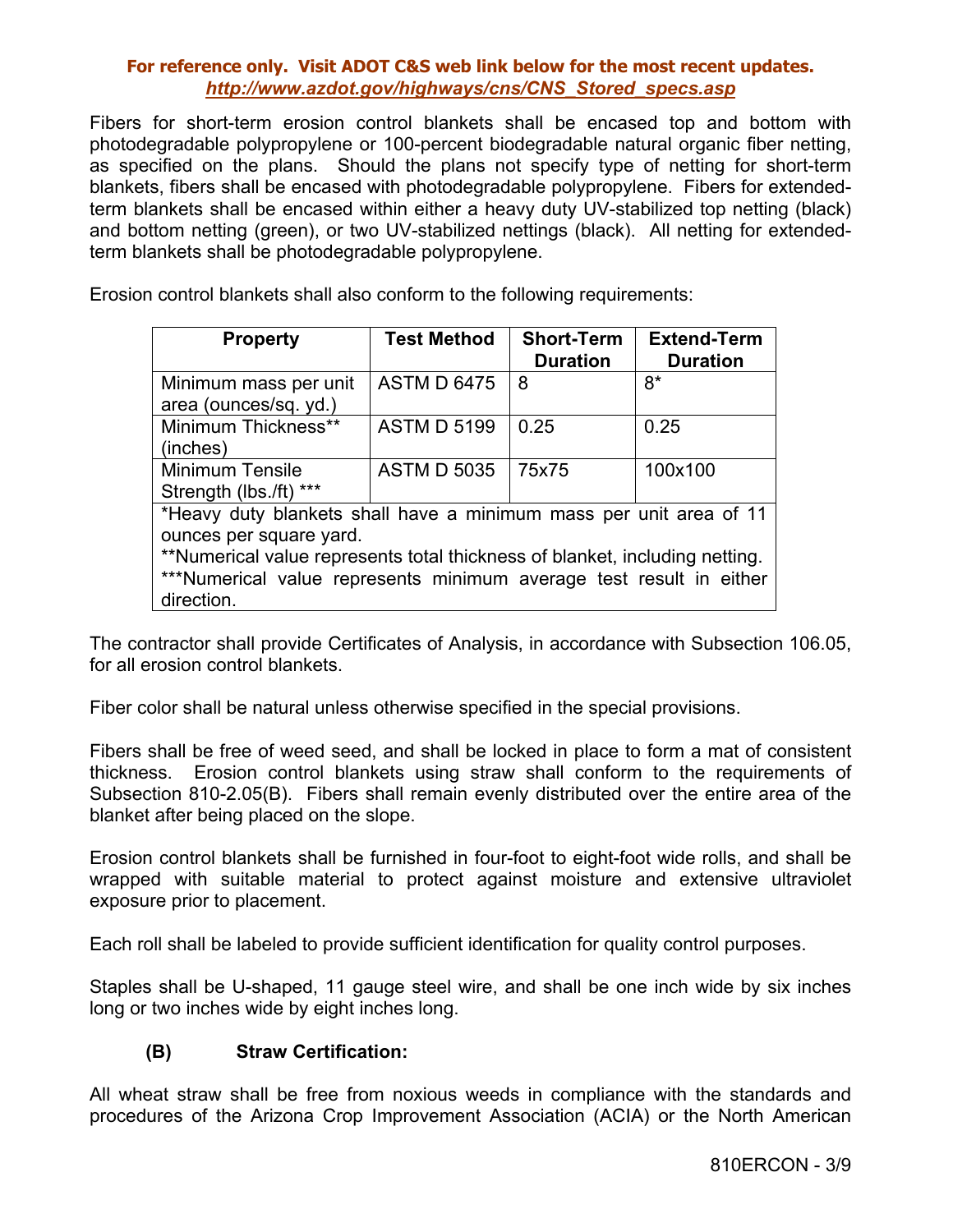Fibers for short-term erosion control blankets shall be encased top and bottom with photodegradable polypropylene or 100-percent biodegradable natural organic fiber netting, as specified on the plans. Should the plans not specify type of netting for short-term blankets, fibers shall be encased with photodegradable polypropylene. Fibers for extendedterm blankets shall be encased within either a heavy duty UV-stabilized top netting (black) and bottom netting (green), or two UV-stabilized nettings (black). All netting for extendedterm blankets shall be photodegradable polypropylene.

Erosion control blankets shall also conform to the following requirements:

| <b>Property</b>                                                             | <b>Test Method</b> | <b>Short-Term</b><br><b>Duration</b> | <b>Extend-Term</b><br><b>Duration</b> |  |
|-----------------------------------------------------------------------------|--------------------|--------------------------------------|---------------------------------------|--|
| Minimum mass per unit<br>area (ounces/sq. yd.)                              | <b>ASTM D 6475</b> | 8                                    | 8*                                    |  |
| Minimum Thickness**<br>(inches)                                             | <b>ASTM D 5199</b> | 0.25                                 | 0.25                                  |  |
| <b>Minimum Tensile</b><br>Strength (lbs./ft) ***                            | <b>ASTM D 5035</b> | 75x75                                | 100x100                               |  |
| *Heavy duty blankets shall have a minimum mass per unit area of 11          |                    |                                      |                                       |  |
| ounces per square yard.                                                     |                    |                                      |                                       |  |
| **Numerical value represents total thickness of blanket, including netting. |                    |                                      |                                       |  |
| ***Numerical value represents minimum average test result in either         |                    |                                      |                                       |  |
| direction.                                                                  |                    |                                      |                                       |  |

The contractor shall provide Certificates of Analysis, in accordance with Subsection 106.05, for all erosion control blankets.

Fiber color shall be natural unless otherwise specified in the special provisions.

Fibers shall be free of weed seed, and shall be locked in place to form a mat of consistent thickness. Erosion control blankets using straw shall conform to the requirements of Subsection 810-2.05(B). Fibers shall remain evenly distributed over the entire area of the blanket after being placed on the slope.

Erosion control blankets shall be furnished in four-foot to eight-foot wide rolls, and shall be wrapped with suitable material to protect against moisture and extensive ultraviolet exposure prior to placement.

Each roll shall be labeled to provide sufficient identification for quality control purposes.

Staples shall be U-shaped, 11 gauge steel wire, and shall be one inch wide by six inches long or two inches wide by eight inches long.

# **(B) Straw Certification:**

All wheat straw shall be free from noxious weeds in compliance with the standards and procedures of the Arizona Crop Improvement Association (ACIA) or the North American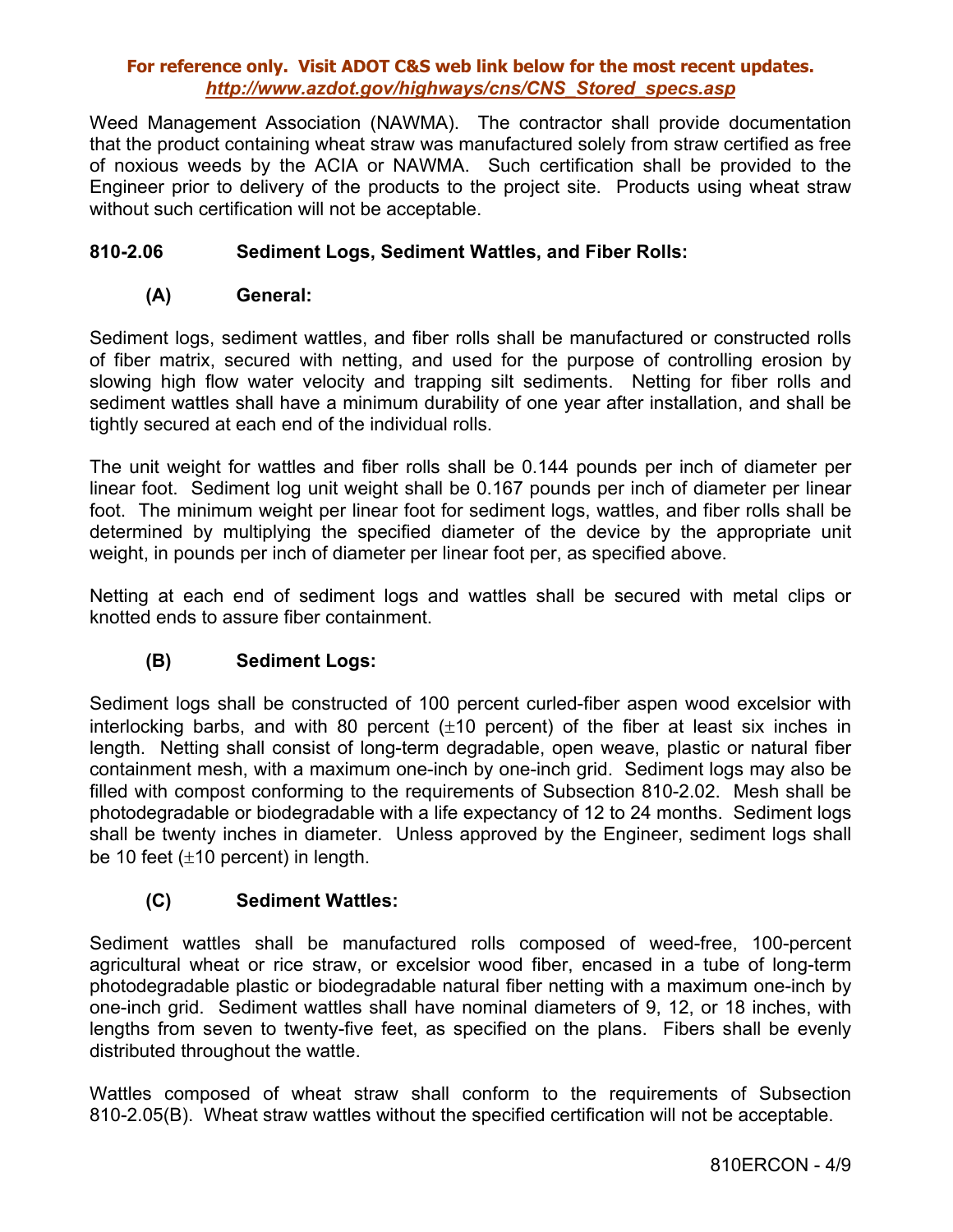Weed Management Association (NAWMA). The contractor shall provide documentation that the product containing wheat straw was manufactured solely from straw certified as free of noxious weeds by the ACIA or NAWMA. Such certification shall be provided to the Engineer prior to delivery of the products to the project site. Products using wheat straw without such certification will not be acceptable.

## **810-2.06 Sediment Logs, Sediment Wattles, and Fiber Rolls:**

### **(A) General:**

Sediment logs, sediment wattles, and fiber rolls shall be manufactured or constructed rolls of fiber matrix, secured with netting, and used for the purpose of controlling erosion by slowing high flow water velocity and trapping silt sediments. Netting for fiber rolls and sediment wattles shall have a minimum durability of one year after installation, and shall be tightly secured at each end of the individual rolls.

The unit weight for wattles and fiber rolls shall be 0.144 pounds per inch of diameter per linear foot. Sediment log unit weight shall be 0.167 pounds per inch of diameter per linear foot. The minimum weight per linear foot for sediment logs, wattles, and fiber rolls shall be determined by multiplying the specified diameter of the device by the appropriate unit weight, in pounds per inch of diameter per linear foot per, as specified above.

Netting at each end of sediment logs and wattles shall be secured with metal clips or knotted ends to assure fiber containment.

# **(B) Sediment Logs:**

Sediment logs shall be constructed of 100 percent curled-fiber aspen wood excelsior with interlocking barbs, and with 80 percent  $(\pm 10$  percent) of the fiber at least six inches in length. Netting shall consist of long-term degradable, open weave, plastic or natural fiber containment mesh, with a maximum one-inch by one-inch grid. Sediment logs may also be filled with compost conforming to the requirements of Subsection 810-2.02. Mesh shall be photodegradable or biodegradable with a life expectancy of 12 to 24 months. Sediment logs shall be twenty inches in diameter. Unless approved by the Engineer, sediment logs shall be 10 feet  $(\pm 10$  percent) in length.

### **(C) Sediment Wattles:**

Sediment wattles shall be manufactured rolls composed of weed-free, 100-percent agricultural wheat or rice straw, or excelsior wood fiber, encased in a tube of long-term photodegradable plastic or biodegradable natural fiber netting with a maximum one-inch by one-inch grid. Sediment wattles shall have nominal diameters of 9, 12, or 18 inches, with lengths from seven to twenty-five feet, as specified on the plans. Fibers shall be evenly distributed throughout the wattle.

Wattles composed of wheat straw shall conform to the requirements of Subsection 810-2.05(B). Wheat straw wattles without the specified certification will not be acceptable.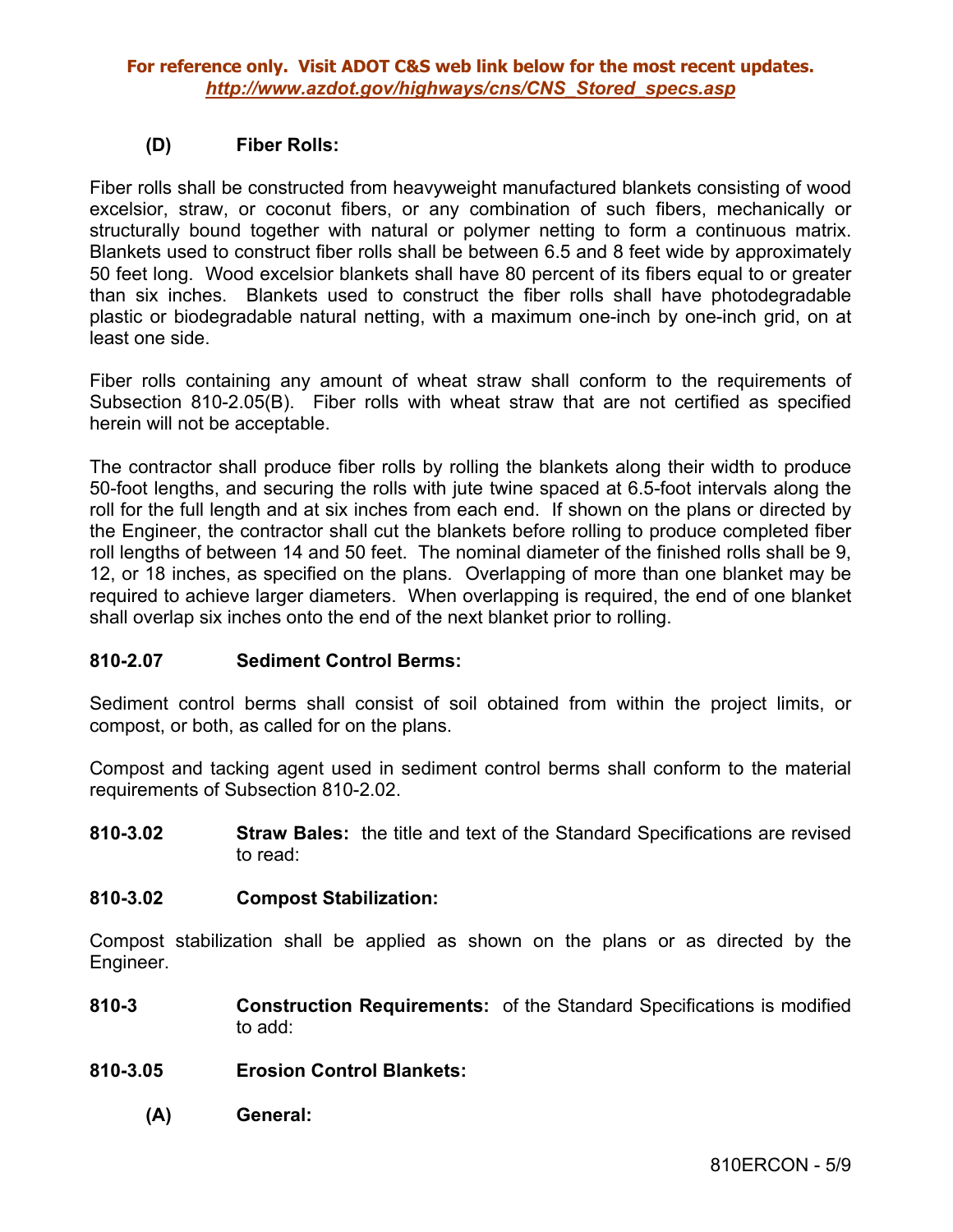## **(D) Fiber Rolls:**

Fiber rolls shall be constructed from heavyweight manufactured blankets consisting of wood excelsior, straw, or coconut fibers, or any combination of such fibers, mechanically or structurally bound together with natural or polymer netting to form a continuous matrix. Blankets used to construct fiber rolls shall be between 6.5 and 8 feet wide by approximately 50 feet long. Wood excelsior blankets shall have 80 percent of its fibers equal to or greater than six inches. Blankets used to construct the fiber rolls shall have photodegradable plastic or biodegradable natural netting, with a maximum one-inch by one-inch grid, on at least one side.

Fiber rolls containing any amount of wheat straw shall conform to the requirements of Subsection 810-2.05(B). Fiber rolls with wheat straw that are not certified as specified herein will not be acceptable.

The contractor shall produce fiber rolls by rolling the blankets along their width to produce 50-foot lengths, and securing the rolls with jute twine spaced at 6.5-foot intervals along the roll for the full length and at six inches from each end. If shown on the plans or directed by the Engineer, the contractor shall cut the blankets before rolling to produce completed fiber roll lengths of between 14 and 50 feet. The nominal diameter of the finished rolls shall be 9, 12, or 18 inches, as specified on the plans. Overlapping of more than one blanket may be required to achieve larger diameters. When overlapping is required, the end of one blanket shall overlap six inches onto the end of the next blanket prior to rolling.

### **810-2.07 Sediment Control Berms:**

Sediment control berms shall consist of soil obtained from within the project limits, or compost, or both, as called for on the plans.

Compost and tacking agent used in sediment control berms shall conform to the material requirements of Subsection 810-2.02.

**810-3.02 Straw Bales:** the title and text of the Standard Specifications are revised to read:

### **810-3.02 Compost Stabilization:**

Compost stabilization shall be applied as shown on the plans or as directed by the Engineer.

- **810-3 Construction Requirements:** of the Standard Specifications is modified to add:
- **810-3.05 Erosion Control Blankets:** 
	- **(A) General:**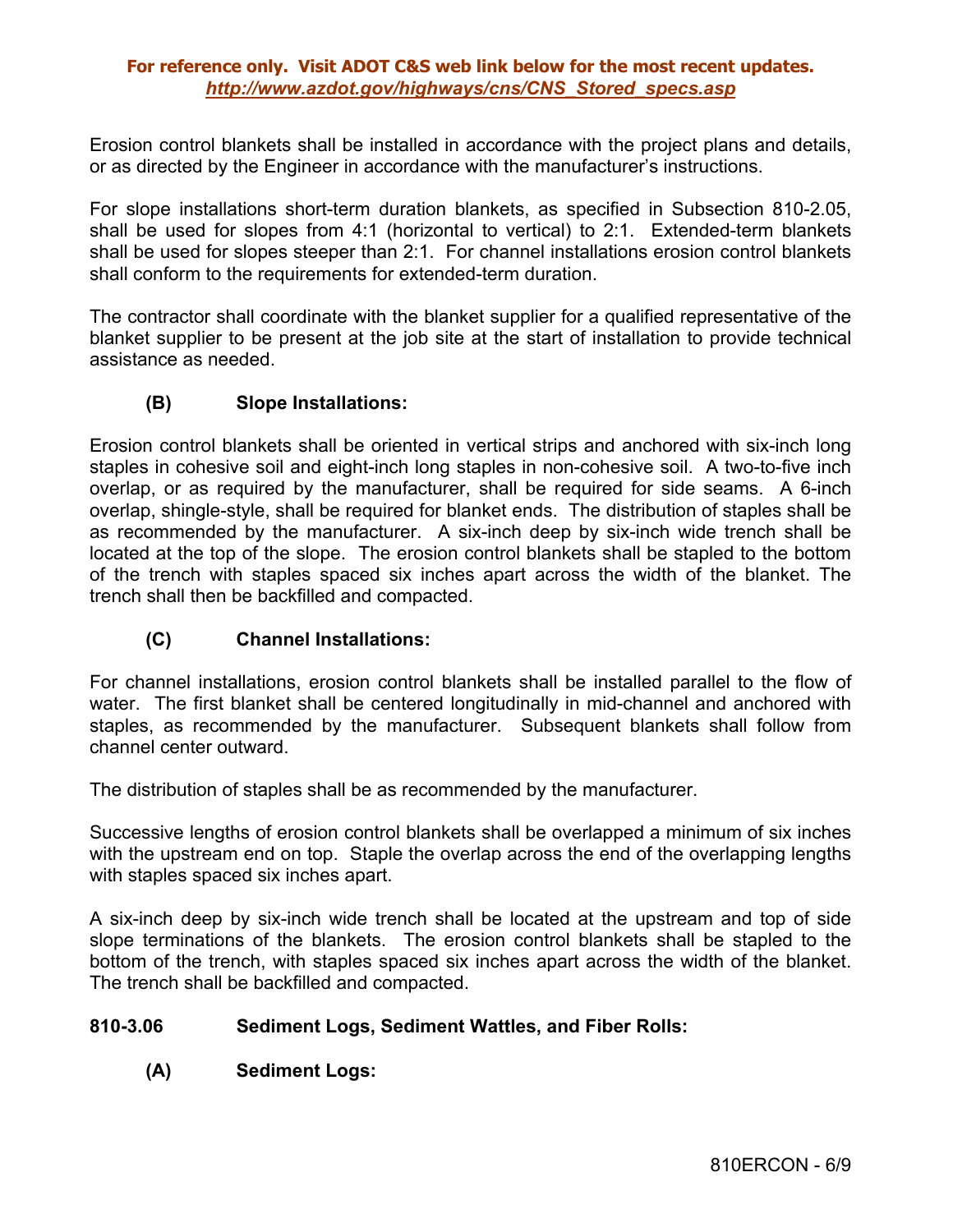Erosion control blankets shall be installed in accordance with the project plans and details, or as directed by the Engineer in accordance with the manufacturer's instructions.

For slope installations short-term duration blankets, as specified in Subsection 810-2.05, shall be used for slopes from 4:1 (horizontal to vertical) to 2:1. Extended-term blankets shall be used for slopes steeper than 2:1. For channel installations erosion control blankets shall conform to the requirements for extended-term duration.

The contractor shall coordinate with the blanket supplier for a qualified representative of the blanket supplier to be present at the job site at the start of installation to provide technical assistance as needed.

## **(B) Slope Installations:**

Erosion control blankets shall be oriented in vertical strips and anchored with six-inch long staples in cohesive soil and eight-inch long staples in non-cohesive soil. A two-to-five inch overlap, or as required by the manufacturer, shall be required for side seams. A 6-inch overlap, shingle-style, shall be required for blanket ends. The distribution of staples shall be as recommended by the manufacturer. A six-inch deep by six-inch wide trench shall be located at the top of the slope. The erosion control blankets shall be stapled to the bottom of the trench with staples spaced six inches apart across the width of the blanket. The trench shall then be backfilled and compacted.

### **(C) Channel Installations:**

For channel installations, erosion control blankets shall be installed parallel to the flow of water. The first blanket shall be centered longitudinally in mid-channel and anchored with staples, as recommended by the manufacturer. Subsequent blankets shall follow from channel center outward.

The distribution of staples shall be as recommended by the manufacturer.

Successive lengths of erosion control blankets shall be overlapped a minimum of six inches with the upstream end on top. Staple the overlap across the end of the overlapping lengths with staples spaced six inches apart.

A six-inch deep by six-inch wide trench shall be located at the upstream and top of side slope terminations of the blankets. The erosion control blankets shall be stapled to the bottom of the trench, with staples spaced six inches apart across the width of the blanket. The trench shall be backfilled and compacted.

### **810-3.06 Sediment Logs, Sediment Wattles, and Fiber Rolls:**

**(A) Sediment Logs:**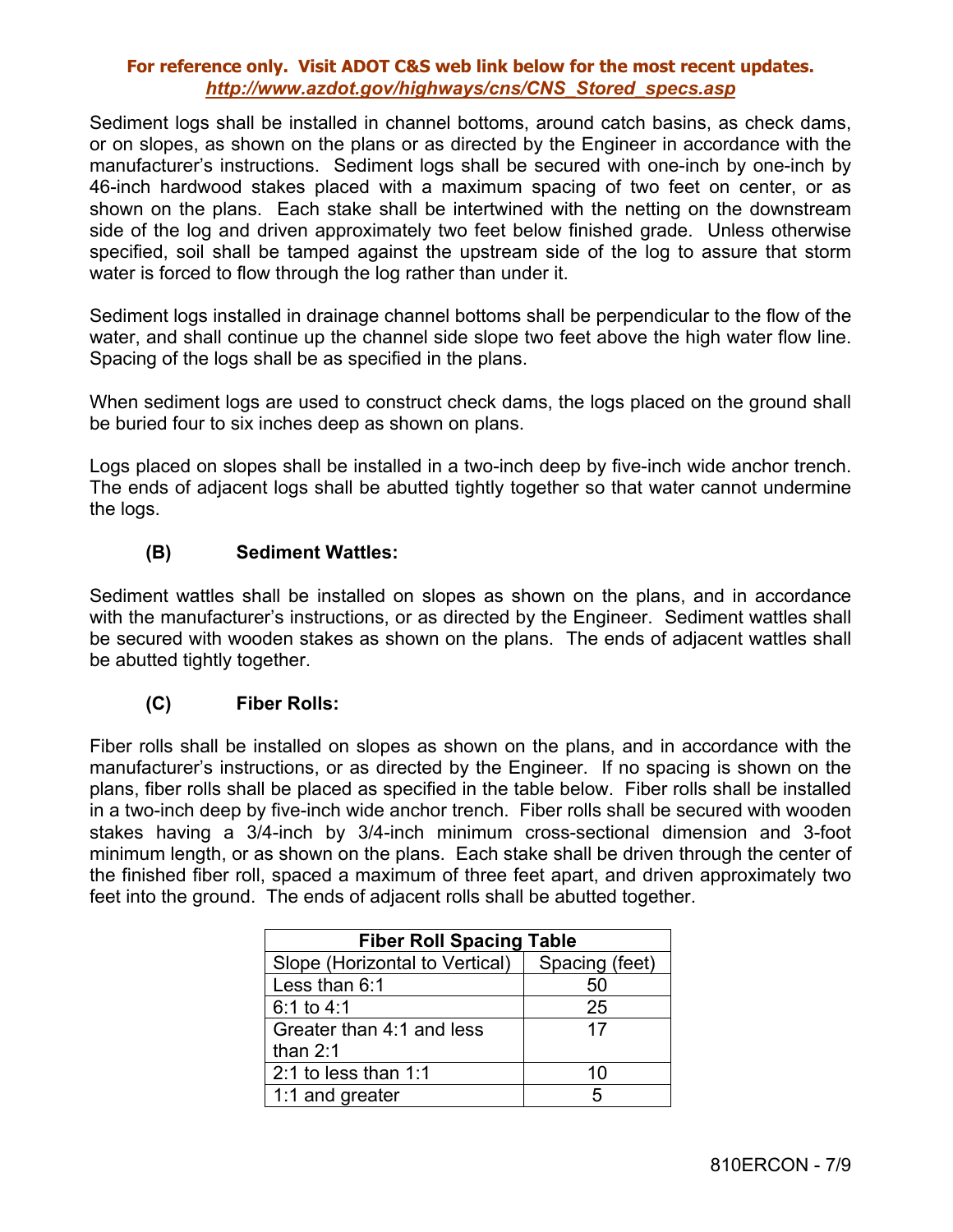Sediment logs shall be installed in channel bottoms, around catch basins, as check dams, or on slopes, as shown on the plans or as directed by the Engineer in accordance with the manufacturer's instructions. Sediment logs shall be secured with one-inch by one-inch by 46-inch hardwood stakes placed with a maximum spacing of two feet on center, or as shown on the plans. Each stake shall be intertwined with the netting on the downstream side of the log and driven approximately two feet below finished grade. Unless otherwise specified, soil shall be tamped against the upstream side of the log to assure that storm water is forced to flow through the log rather than under it.

Sediment logs installed in drainage channel bottoms shall be perpendicular to the flow of the water, and shall continue up the channel side slope two feet above the high water flow line. Spacing of the logs shall be as specified in the plans.

When sediment logs are used to construct check dams, the logs placed on the ground shall be buried four to six inches deep as shown on plans.

Logs placed on slopes shall be installed in a two-inch deep by five-inch wide anchor trench. The ends of adjacent logs shall be abutted tightly together so that water cannot undermine the logs.

# **(B) Sediment Wattles:**

Sediment wattles shall be installed on slopes as shown on the plans, and in accordance with the manufacturer's instructions, or as directed by the Engineer. Sediment wattles shall be secured with wooden stakes as shown on the plans. The ends of adjacent wattles shall be abutted tightly together.

### **(C) Fiber Rolls:**

Fiber rolls shall be installed on slopes as shown on the plans, and in accordance with the manufacturer's instructions, or as directed by the Engineer. If no spacing is shown on the plans, fiber rolls shall be placed as specified in the table below. Fiber rolls shall be installed in a two-inch deep by five-inch wide anchor trench. Fiber rolls shall be secured with wooden stakes having a 3/4-inch by 3/4-inch minimum cross-sectional dimension and 3-foot minimum length, or as shown on the plans. Each stake shall be driven through the center of the finished fiber roll, spaced a maximum of three feet apart, and driven approximately two feet into the ground. The ends of adjacent rolls shall be abutted together.

| <b>Fiber Roll Spacing Table</b> |                |  |  |
|---------------------------------|----------------|--|--|
| Slope (Horizontal to Vertical)  | Spacing (feet) |  |  |
| Less than 6:1                   | 50             |  |  |
| $6:1$ to 4:1                    | 25             |  |  |
| Greater than 4:1 and less       | 17             |  |  |
| than $2:1$                      |                |  |  |
| 2:1 to less than $1:1$          | 10             |  |  |
| 1:1 and greater                 | 5              |  |  |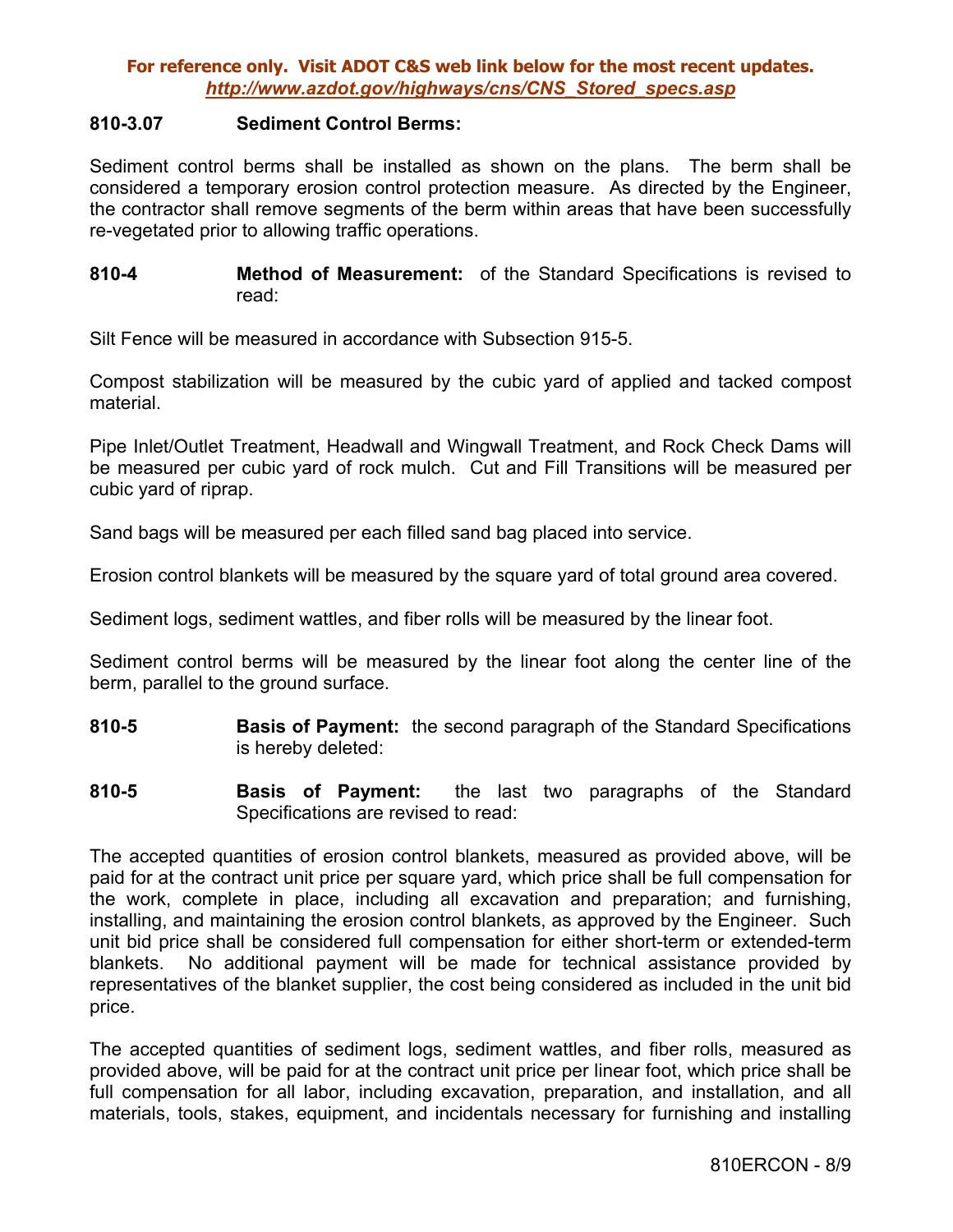#### **810-3.07 Sediment Control Berms:**

Sediment control berms shall be installed as shown on the plans. The berm shall be considered a temporary erosion control protection measure. As directed by the Engineer, the contractor shall remove segments of the berm within areas that have been successfully re-vegetated prior to allowing traffic operations.

**810-4 Method of Measurement:** of the Standard Specifications is revised to read:

Silt Fence will be measured in accordance with Subsection 915-5.

Compost stabilization will be measured by the cubic yard of applied and tacked compost material.

Pipe Inlet/Outlet Treatment, Headwall and Wingwall Treatment, and Rock Check Dams will be measured per cubic yard of rock mulch. Cut and Fill Transitions will be measured per cubic yard of riprap.

Sand bags will be measured per each filled sand bag placed into service.

Erosion control blankets will be measured by the square yard of total ground area covered.

Sediment logs, sediment wattles, and fiber rolls will be measured by the linear foot.

Sediment control berms will be measured by the linear foot along the center line of the berm, parallel to the ground surface.

- **810-5 Basis of Payment:** the second paragraph of the Standard Specifications is hereby deleted:
- **810-5 Basis of Payment:** the last two paragraphs of the Standard Specifications are revised to read:

The accepted quantities of erosion control blankets, measured as provided above, will be paid for at the contract unit price per square yard, which price shall be full compensation for the work, complete in place, including all excavation and preparation; and furnishing, installing, and maintaining the erosion control blankets, as approved by the Engineer. Such unit bid price shall be considered full compensation for either short-term or extended-term blankets. No additional payment will be made for technical assistance provided by representatives of the blanket supplier, the cost being considered as included in the unit bid price.

The accepted quantities of sediment logs, sediment wattles, and fiber rolls, measured as provided above, will be paid for at the contract unit price per linear foot, which price shall be full compensation for all labor, including excavation, preparation, and installation, and all materials, tools, stakes, equipment, and incidentals necessary for furnishing and installing